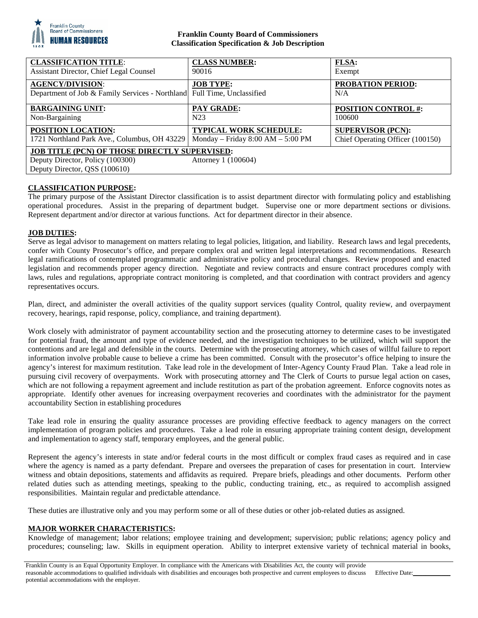

# **Franklin County Board of Commissioners Classification Specification & Job Description**

| <b>CLASSIFICATION TITLE:</b>                                                                                                                     | <b>CLASS NUMBER:</b>                | <b>FLSA:</b>                     |
|--------------------------------------------------------------------------------------------------------------------------------------------------|-------------------------------------|----------------------------------|
| Assistant Director, Chief Legal Counsel                                                                                                          | 90016                               | Exempt                           |
| <b>AGENCY/DIVISION:</b><br>Department of Job & Family Services - Northland Full Time, Unclassified                                               | <b>JOB TYPE:</b>                    | <b>PROBATION PERIOD:</b><br>N/A  |
| <b>BARGAINING UNIT:</b>                                                                                                                          | PAY GRADE:                          | <b>POSITION CONTROL #:</b>       |
| Non-Bargaining                                                                                                                                   | N <sub>2</sub> 3                    | 100600                           |
| <b>POSITION LOCATION:</b>                                                                                                                        | <b>TYPICAL WORK SCHEDULE:</b>       | <b>SUPERVISOR (PCN):</b>         |
| 1721 Northland Park Ave., Columbus, OH 43229                                                                                                     | Monday – Friday $8:00 AM - 5:00 PM$ | Chief Operating Officer (100150) |
| <b>JOB TITLE (PCN) OF THOSE DIRECTLY SUPERVISED:</b><br>Deputy Director, Policy (100300)<br>Attorney 1 (100604)<br>Deputy Director, QSS (100610) |                                     |                                  |

# **CLASSIFICATION PURPOSE:**

The primary purpose of the Assistant Director classification is to assist department director with formulating policy and establishing operational procedures. Assist in the preparing of department budget. Supervise one or more department sections or divisions. Represent department and/or director at various functions. Act for department director in their absence.

# **JOB DUTIES:**

Serve as legal advisor to management on matters relating to legal policies, litigation, and liability. Research laws and legal precedents, confer with County Prosecutor's office, and prepare complex oral and written legal interpretations and recommendations. Research legal ramifications of contemplated programmatic and administrative policy and procedural changes. Review proposed and enacted legislation and recommends proper agency direction. Negotiate and review contracts and ensure contract procedures comply with laws, rules and regulations, appropriate contract monitoring is completed, and that coordination with contract providers and agency representatives occurs.

Plan, direct, and administer the overall activities of the quality support services (quality Control, quality review, and overpayment recovery, hearings, rapid response, policy, compliance, and training department).

Work closely with administrator of payment accountability section and the prosecuting attorney to determine cases to be investigated for potential fraud, the amount and type of evidence needed, and the investigation techniques to be utilized, which will support the contentions and are legal and defensible in the courts. Determine with the prosecuting attorney, which cases of willful failure to report information involve probable cause to believe a crime has been committed. Consult with the prosecutor's office helping to insure the agency's interest for maximum restitution. Take lead role in the development of Inter-Agency County Fraud Plan. Take a lead role in pursuing civil recovery of overpayments. Work with prosecuting attorney and The Clerk of Courts to pursue legal action on cases, which are not following a repayment agreement and include restitution as part of the probation agreement. Enforce cognovits notes as appropriate. Identify other avenues for increasing overpayment recoveries and coordinates with the administrator for the payment accountability Section in establishing procedures

Take lead role in ensuring the quality assurance processes are providing effective feedback to agency managers on the correct implementation of program policies and procedures. Take a lead role in ensuring appropriate training content design, development and implementation to agency staff, temporary employees, and the general public.

Represent the agency's interests in state and/or federal courts in the most difficult or complex fraud cases as required and in case where the agency is named as a party defendant. Prepare and oversees the preparation of cases for presentation in court. Interview witness and obtain depositions, statements and affidavits as required. Prepare briefs, pleadings and other documents. Perform other related duties such as attending meetings, speaking to the public, conducting training, etc., as required to accomplish assigned responsibilities. Maintain regular and predictable attendance.

These duties are illustrative only and you may perform some or all of these duties or other job-related duties as assigned.

# **MAJOR WORKER CHARACTERISTICS:**

Knowledge of management; labor relations; employee training and development; supervision; public relations; agency policy and procedures; counseling; law. Skills in equipment operation. Ability to interpret extensive variety of technical material in books,

Franklin County is an Equal Opportunity Employer. In compliance with the Americans with Disabilities Act, the county will provide reasonable accommodations to qualified individuals with disabilities and encourages both prospective and current employees to discuss potential accommodations with the employer. Effective Date: